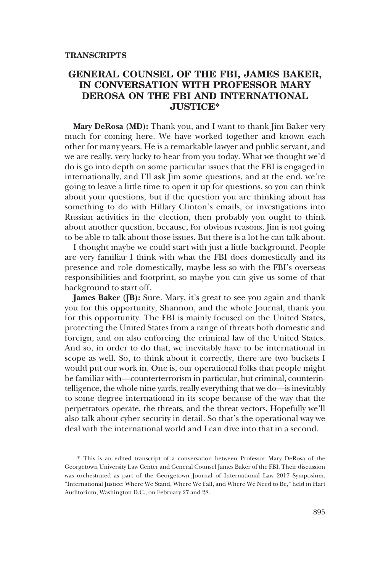## **GENERAL COUNSEL OF THE FBI, JAMES BAKER, IN CONVERSATION WITH PROFESSOR MARY DEROSA ON THE FBI AND INTERNATIONAL JUSTICE\***

**Mary DeRosa (MD):** Thank you, and I want to thank Jim Baker very much for coming here. We have worked together and known each other for many years. He is a remarkable lawyer and public servant, and we are really, very lucky to hear from you today. What we thought we'd do is go into depth on some particular issues that the FBI is engaged in internationally, and I'll ask Jim some questions, and at the end, we're going to leave a little time to open it up for questions, so you can think about your questions, but if the question you are thinking about has something to do with Hillary Clinton's emails, or investigations into Russian activities in the election, then probably you ought to think about another question, because, for obvious reasons, Jim is not going to be able to talk about those issues. But there is a lot he can talk about.

I thought maybe we could start with just a little background. People are very familiar I think with what the FBI does domestically and its presence and role domestically, maybe less so with the FBI's overseas responsibilities and footprint, so maybe you can give us some of that background to start off.

**James Baker (JB):** Sure. Mary, it's great to see you again and thank you for this opportunity, Shannon, and the whole Journal, thank you for this opportunity. The FBI is mainly focused on the United States, protecting the United States from a range of threats both domestic and foreign, and on also enforcing the criminal law of the United States. And so, in order to do that, we inevitably have to be international in scope as well. So, to think about it correctly, there are two buckets I would put our work in. One is, our operational folks that people might be familiar with—counterterrorism in particular, but criminal, counterintelligence, the whole nine yards, really everything that we do—is inevitably to some degree international in its scope because of the way that the perpetrators operate, the threats, and the threat vectors. Hopefully we'll also talk about cyber security in detail. So that's the operational way we deal with the international world and I can dive into that in a second.

<sup>\*</sup> This is an edited transcript of a conversation between Professor Mary DeRosa of the Georgetown University Law Center and General Counsel James Baker of the FBI. Their discussion was orchestrated as part of the Georgetown Journal of International Law 2017 Symposium, "International Justice: Where We Stand, Where We Fall, and Where We Need to Be," held in Hart Auditorium, Washington D.C., on February 27 and 28.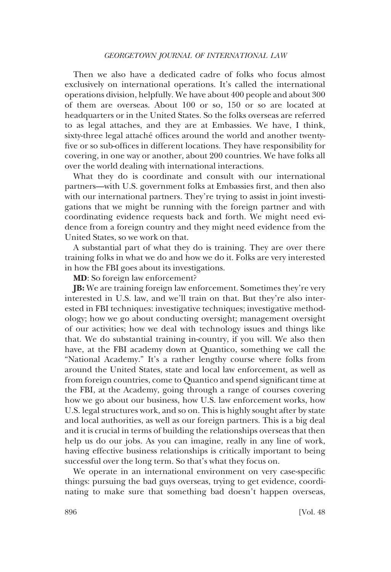Then we also have a dedicated cadre of folks who focus almost exclusively on international operations. It's called the international operations division, helpfully. We have about 400 people and about 300 of them are overseas. About 100 or so, 150 or so are located at headquarters or in the United States. So the folks overseas are referred to as legal attaches, and they are at Embassies. We have, I think, sixty-three legal attaché offices around the world and another twentyfive or so sub-offices in different locations. They have responsibility for covering, in one way or another, about 200 countries. We have folks all over the world dealing with international interactions.

What they do is coordinate and consult with our international partners—with U.S. government folks at Embassies first, and then also with our international partners. They're trying to assist in joint investigations that we might be running with the foreign partner and with coordinating evidence requests back and forth. We might need evidence from a foreign country and they might need evidence from the United States, so we work on that.

A substantial part of what they do is training. They are over there training folks in what we do and how we do it. Folks are very interested in how the FBI goes about its investigations.

**MD**: So foreign law enforcement?

**JB:** We are training foreign law enforcement. Sometimes they're very interested in U.S. law, and we'll train on that. But they're also interested in FBI techniques: investigative techniques; investigative methodology; how we go about conducting oversight; management oversight of our activities; how we deal with technology issues and things like that. We do substantial training in-country, if you will. We also then have, at the FBI academy down at Quantico, something we call the "National Academy." It's a rather lengthy course where folks from around the United States, state and local law enforcement, as well as from foreign countries, come to Quantico and spend significant time at the FBI, at the Academy, going through a range of courses covering how we go about our business, how U.S. law enforcement works, how U.S. legal structures work, and so on. This is highly sought after by state and local authorities, as well as our foreign partners. This is a big deal and it is crucial in terms of building the relationships overseas that then help us do our jobs. As you can imagine, really in any line of work, having effective business relationships is critically important to being successful over the long term. So that's what they focus on.

We operate in an international environment on very case-specific things: pursuing the bad guys overseas, trying to get evidence, coordinating to make sure that something bad doesn't happen overseas,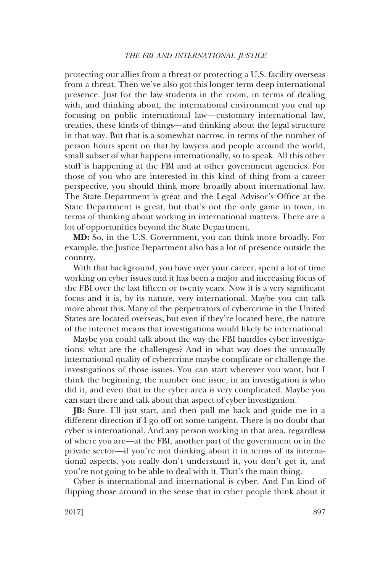protecting our allies from a threat or protecting a U.S. facility overseas from a threat. Then we've also got this longer term deep international presence. Just for the law students in the room, in terms of dealing with, and thinking about, the international environment you end up focusing on public international law—customary international law, treaties, these kinds of things—and thinking about the legal structure in that way. But that is a somewhat narrow, in terms of the number of person hours spent on that by lawyers and people around the world, small subset of what happens internationally, so to speak. All this other stuff is happening at the FBI and at other government agencies. For those of you who are interested in this kind of thing from a career perspective, you should think more broadly about international law. The State Department is great and the Legal Advisor's Office at the State Department is great, but that's not the only game in town, in terms of thinking about working in international matters. There are a lot of opportunities beyond the State Department.

**MD:** So, in the U.S. Government, you can think more broadly. For example, the Justice Department also has a lot of presence outside the country.

With that background, you have over your career, spent a lot of time working on cyber issues and it has been a major and increasing focus of the FBI over the last fifteen or twenty years. Now it is a very significant focus and it is, by its nature, very international. Maybe you can talk more about this. Many of the perpetrators of cybercrime in the United States are located overseas, but even if they're located here, the nature of the internet means that investigations would likely be international.

Maybe you could talk about the way the FBI handles cyber investigations: what are the challenges? And in what way does the unusually international quality of cybercrime maybe complicate or challenge the investigations of those issues. You can start wherever you want, but I think the beginning, the number one issue, in an investigation is who did it, and even that in the cyber area is very complicated. Maybe you can start there and talk about that aspect of cyber investigation.

**JB:** Sure. I'll just start, and then pull me back and guide me in a different direction if I go off on some tangent. There is no doubt that cyber is international. And any person working in that area, regardless of where you are—at the FBI, another part of the government or in the private sector—if you're not thinking about it in terms of its international aspects, you really don't understand it, you don't get it, and you're not going to be able to deal with it. That's the main thing.

Cyber is international and international is cyber. And I'm kind of flipping those around in the sense that in cyber people think about it

2017] 897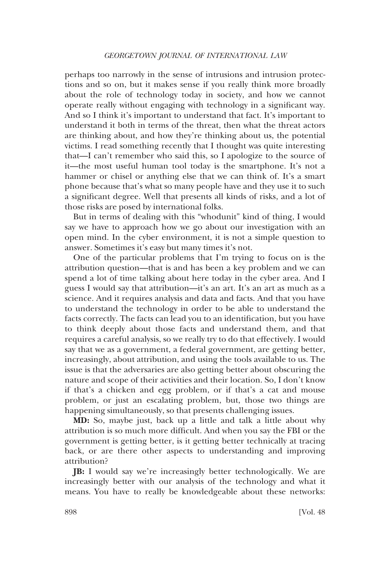perhaps too narrowly in the sense of intrusions and intrusion protections and so on, but it makes sense if you really think more broadly about the role of technology today in society, and how we cannot operate really without engaging with technology in a significant way. And so I think it's important to understand that fact. It's important to understand it both in terms of the threat, then what the threat actors are thinking about, and how they're thinking about us, the potential victims. I read something recently that I thought was quite interesting that—I can't remember who said this, so I apologize to the source of it—the most useful human tool today is the smartphone. It's not a hammer or chisel or anything else that we can think of. It's a smart phone because that's what so many people have and they use it to such a significant degree. Well that presents all kinds of risks, and a lot of those risks are posed by international folks.

But in terms of dealing with this "whodunit" kind of thing, I would say we have to approach how we go about our investigation with an open mind. In the cyber environment, it is not a simple question to answer. Sometimes it's easy but many times it's not.

One of the particular problems that I'm trying to focus on is the attribution question—that is and has been a key problem and we can spend a lot of time talking about here today in the cyber area. And I guess I would say that attribution—it's an art. It's an art as much as a science. And it requires analysis and data and facts. And that you have to understand the technology in order to be able to understand the facts correctly. The facts can lead you to an identification, but you have to think deeply about those facts and understand them, and that requires a careful analysis, so we really try to do that effectively. I would say that we as a government, a federal government, are getting better, increasingly, about attribution, and using the tools available to us. The issue is that the adversaries are also getting better about obscuring the nature and scope of their activities and their location. So, I don't know if that's a chicken and egg problem, or if that's a cat and mouse problem, or just an escalating problem, but, those two things are happening simultaneously, so that presents challenging issues.

**MD:** So, maybe just, back up a little and talk a little about why attribution is so much more difficult. And when you say the FBI or the government is getting better, is it getting better technically at tracing back, or are there other aspects to understanding and improving attribution?

**JB:** I would say we're increasingly better technologically. We are increasingly better with our analysis of the technology and what it means. You have to really be knowledgeable about these networks: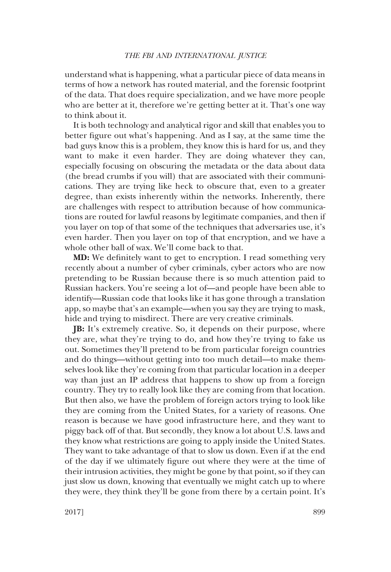understand what is happening, what a particular piece of data means in terms of how a network has routed material, and the forensic footprint of the data. That does require specialization, and we have more people who are better at it, therefore we're getting better at it. That's one way to think about it.

It is both technology and analytical rigor and skill that enables you to better figure out what's happening. And as I say, at the same time the bad guys know this is a problem, they know this is hard for us, and they want to make it even harder. They are doing whatever they can, especially focusing on obscuring the metadata or the data about data (the bread crumbs if you will) that are associated with their communications. They are trying like heck to obscure that, even to a greater degree, than exists inherently within the networks. Inherently, there are challenges with respect to attribution because of how communications are routed for lawful reasons by legitimate companies, and then if you layer on top of that some of the techniques that adversaries use, it's even harder. Then you layer on top of that encryption, and we have a whole other ball of wax. We'll come back to that.

**MD:** We definitely want to get to encryption. I read something very recently about a number of cyber criminals, cyber actors who are now pretending to be Russian because there is so much attention paid to Russian hackers. You're seeing a lot of—and people have been able to identify—Russian code that looks like it has gone through a translation app, so maybe that's an example—when you say they are trying to mask, hide and trying to misdirect. There are very creative criminals.

**JB:** It's extremely creative. So, it depends on their purpose, where they are, what they're trying to do, and how they're trying to fake us out. Sometimes they'll pretend to be from particular foreign countries and do things—without getting into too much detail—to make themselves look like they're coming from that particular location in a deeper way than just an IP address that happens to show up from a foreign country. They try to really look like they are coming from that location. But then also, we have the problem of foreign actors trying to look like they are coming from the United States, for a variety of reasons. One reason is because we have good infrastructure here, and they want to piggy back off of that. But secondly, they know a lot about U.S. laws and they know what restrictions are going to apply inside the United States. They want to take advantage of that to slow us down. Even if at the end of the day if we ultimately figure out where they were at the time of their intrusion activities, they might be gone by that point, so if they can just slow us down, knowing that eventually we might catch up to where they were, they think they'll be gone from there by a certain point. It's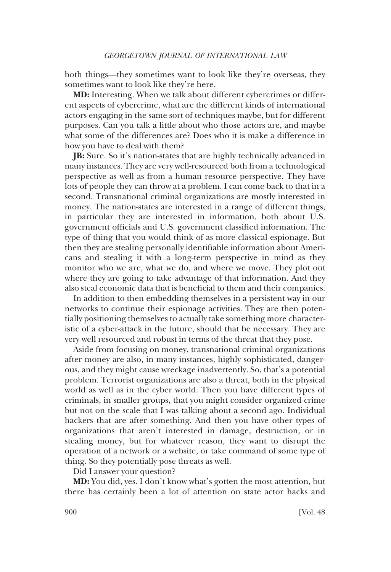both things—they sometimes want to look like they're overseas, they sometimes want to look like they're here.

**MD:** Interesting. When we talk about different cybercrimes or different aspects of cybercrime, what are the different kinds of international actors engaging in the same sort of techniques maybe, but for different purposes. Can you talk a little about who those actors are, and maybe what some of the differences are? Does who it is make a difference in how you have to deal with them?

**JB:** Sure. So it's nation-states that are highly technically advanced in many instances. They are very well-resourced both from a technological perspective as well as from a human resource perspective. They have lots of people they can throw at a problem. I can come back to that in a second. Transnational criminal organizations are mostly interested in money. The nation-states are interested in a range of different things, in particular they are interested in information, both about U.S. government officials and U.S. government classified information. The type of thing that you would think of as more classical espionage. But then they are stealing personally identifiable information about Americans and stealing it with a long-term perspective in mind as they monitor who we are, what we do, and where we move. They plot out where they are going to take advantage of that information. And they also steal economic data that is beneficial to them and their companies.

In addition to then embedding themselves in a persistent way in our networks to continue their espionage activities. They are then potentially positioning themselves to actually take something more characteristic of a cyber-attack in the future, should that be necessary. They are very well resourced and robust in terms of the threat that they pose.

Aside from focusing on money, transnational criminal organizations after money are also, in many instances, highly sophisticated, dangerous, and they might cause wreckage inadvertently. So, that's a potential problem. Terrorist organizations are also a threat, both in the physical world as well as in the cyber world. Then you have different types of criminals, in smaller groups, that you might consider organized crime but not on the scale that I was talking about a second ago. Individual hackers that are after something. And then you have other types of organizations that aren't interested in damage, destruction, or in stealing money, but for whatever reason, they want to disrupt the operation of a network or a website, or take command of some type of thing. So they potentially pose threats as well.

Did I answer your question?

**MD:** You did, yes. I don't know what's gotten the most attention, but there has certainly been a lot of attention on state actor hacks and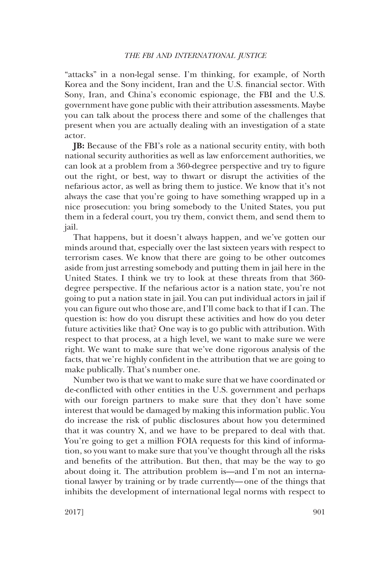"attacks" in a non-legal sense. I'm thinking, for example, of North Korea and the Sony incident, Iran and the U.S. financial sector. With Sony, Iran, and China's economic espionage, the FBI and the U.S. government have gone public with their attribution assessments. Maybe you can talk about the process there and some of the challenges that present when you are actually dealing with an investigation of a state actor.

**JB:** Because of the FBI's role as a national security entity, with both national security authorities as well as law enforcement authorities, we can look at a problem from a 360-degree perspective and try to figure out the right, or best, way to thwart or disrupt the activities of the nefarious actor, as well as bring them to justice. We know that it's not always the case that you're going to have something wrapped up in a nice prosecution: you bring somebody to the United States, you put them in a federal court, you try them, convict them, and send them to jail.

That happens, but it doesn't always happen, and we've gotten our minds around that, especially over the last sixteen years with respect to terrorism cases. We know that there are going to be other outcomes aside from just arresting somebody and putting them in jail here in the United States. I think we try to look at these threats from that 360 degree perspective. If the nefarious actor is a nation state, you're not going to put a nation state in jail. You can put individual actors in jail if you can figure out who those are, and I'll come back to that if I can. The question is: how do you disrupt these activities and how do you deter future activities like that? One way is to go public with attribution. With respect to that process, at a high level, we want to make sure we were right. We want to make sure that we've done rigorous analysis of the facts, that we're highly confident in the attribution that we are going to make publically. That's number one.

Number two is that we want to make sure that we have coordinated or de-conflicted with other entities in the U.S. government and perhaps with our foreign partners to make sure that they don't have some interest that would be damaged by making this information public. You do increase the risk of public disclosures about how you determined that it was country X, and we have to be prepared to deal with that. You're going to get a million FOIA requests for this kind of information, so you want to make sure that you've thought through all the risks and benefits of the attribution. But then, that may be the way to go about doing it. The attribution problem is—and I'm not an international lawyer by training or by trade currently—one of the things that inhibits the development of international legal norms with respect to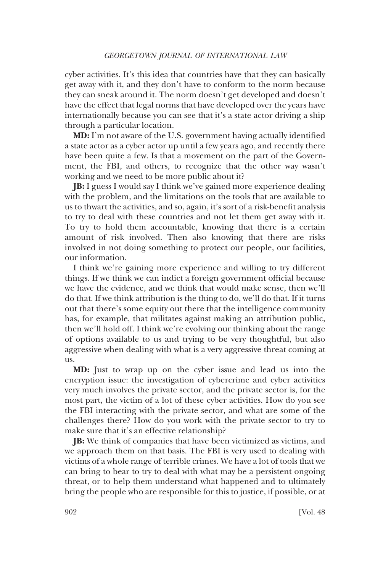cyber activities. It's this idea that countries have that they can basically get away with it, and they don't have to conform to the norm because they can sneak around it. The norm doesn't get developed and doesn't have the effect that legal norms that have developed over the years have internationally because you can see that it's a state actor driving a ship through a particular location.

**MD:** I'm not aware of the U.S. government having actually identified a state actor as a cyber actor up until a few years ago, and recently there have been quite a few. Is that a movement on the part of the Government, the FBI, and others, to recognize that the other way wasn't working and we need to be more public about it?

**JB:** I guess I would say I think we've gained more experience dealing with the problem, and the limitations on the tools that are available to us to thwart the activities, and so, again, it's sort of a risk-benefit analysis to try to deal with these countries and not let them get away with it. To try to hold them accountable, knowing that there is a certain amount of risk involved. Then also knowing that there are risks involved in not doing something to protect our people, our facilities, our information.

I think we're gaining more experience and willing to try different things. If we think we can indict a foreign government official because we have the evidence, and we think that would make sense, then we'll do that. If we think attribution is the thing to do, we'll do that. If it turns out that there's some equity out there that the intelligence community has, for example, that militates against making an attribution public, then we'll hold off. I think we're evolving our thinking about the range of options available to us and trying to be very thoughtful, but also aggressive when dealing with what is a very aggressive threat coming at us.

**MD:** Just to wrap up on the cyber issue and lead us into the encryption issue: the investigation of cybercrime and cyber activities very much involves the private sector, and the private sector is, for the most part, the victim of a lot of these cyber activities. How do you see the FBI interacting with the private sector, and what are some of the challenges there? How do you work with the private sector to try to make sure that it's an effective relationship?

**JB:** We think of companies that have been victimized as victims, and we approach them on that basis. The FBI is very used to dealing with victims of a whole range of terrible crimes. We have a lot of tools that we can bring to bear to try to deal with what may be a persistent ongoing threat, or to help them understand what happened and to ultimately bring the people who are responsible for this to justice, if possible, or at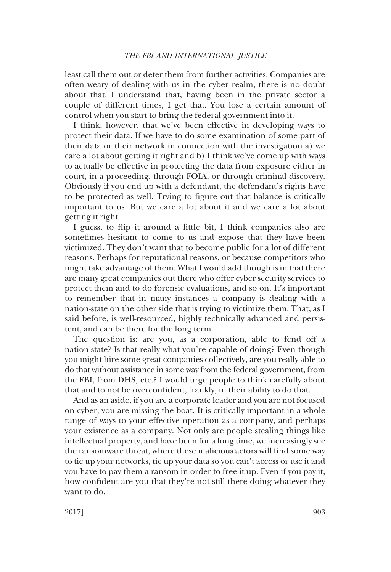## *THE FBI AND INTERNATIONAL JUSTICE*

least call them out or deter them from further activities. Companies are often weary of dealing with us in the cyber realm, there is no doubt about that. I understand that, having been in the private sector a couple of different times, I get that. You lose a certain amount of control when you start to bring the federal government into it.

I think, however, that we've been effective in developing ways to protect their data. If we have to do some examination of some part of their data or their network in connection with the investigation a) we care a lot about getting it right and b) I think we've come up with ways to actually be effective in protecting the data from exposure either in court, in a proceeding, through FOIA, or through criminal discovery. Obviously if you end up with a defendant, the defendant's rights have to be protected as well. Trying to figure out that balance is critically important to us. But we care a lot about it and we care a lot about getting it right.

I guess, to flip it around a little bit, I think companies also are sometimes hesitant to come to us and expose that they have been victimized. They don't want that to become public for a lot of different reasons. Perhaps for reputational reasons, or because competitors who might take advantage of them. What I would add though is in that there are many great companies out there who offer cyber security services to protect them and to do forensic evaluations, and so on. It's important to remember that in many instances a company is dealing with a nation-state on the other side that is trying to victimize them. That, as I said before, is well-resourced, highly technically advanced and persistent, and can be there for the long term.

The question is: are you, as a corporation, able to fend off a nation-state? Is that really what you're capable of doing? Even though you might hire some great companies collectively, are you really able to do that without assistance in some way from the federal government, from the FBI, from DHS, etc.? I would urge people to think carefully about that and to not be overconfident, frankly, in their ability to do that.

And as an aside, if you are a corporate leader and you are not focused on cyber, you are missing the boat. It is critically important in a whole range of ways to your effective operation as a company, and perhaps your existence as a company. Not only are people stealing things like intellectual property, and have been for a long time, we increasingly see the ransomware threat, where these malicious actors will find some way to tie up your networks, tie up your data so you can't access or use it and you have to pay them a ransom in order to free it up. Even if you pay it, how confident are you that they're not still there doing whatever they want to do.

2017] 903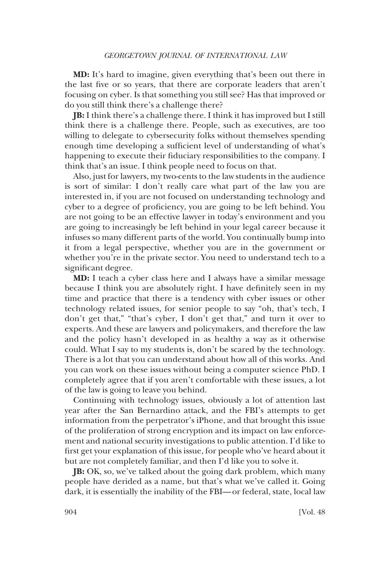**MD:** It's hard to imagine, given everything that's been out there in the last five or so years, that there are corporate leaders that aren't focusing on cyber. Is that something you still see? Has that improved or do you still think there's a challenge there?

**JB:** I think there's a challenge there. I think it has improved but I still think there is a challenge there. People, such as executives, are too willing to delegate to cybersecurity folks without themselves spending enough time developing a sufficient level of understanding of what's happening to execute their fiduciary responsibilities to the company. I think that's an issue. I think people need to focus on that.

Also, just for lawyers, my two-cents to the law students in the audience is sort of similar: I don't really care what part of the law you are interested in, if you are not focused on understanding technology and cyber to a degree of proficiency, you are going to be left behind. You are not going to be an effective lawyer in today's environment and you are going to increasingly be left behind in your legal career because it infuses so many different parts of the world. You continually bump into it from a legal perspective, whether you are in the government or whether you're in the private sector. You need to understand tech to a significant degree.

**MD:** I teach a cyber class here and I always have a similar message because I think you are absolutely right. I have definitely seen in my time and practice that there is a tendency with cyber issues or other technology related issues, for senior people to say "oh, that's tech, I don't get that," "that's cyber, I don't get that," and turn it over to experts. And these are lawyers and policymakers, and therefore the law and the policy hasn't developed in as healthy a way as it otherwise could. What I say to my students is, don't be scared by the technology. There is a lot that you can understand about how all of this works. And you can work on these issues without being a computer science PhD. I completely agree that if you aren't comfortable with these issues, a lot of the law is going to leave you behind.

Continuing with technology issues, obviously a lot of attention last year after the San Bernardino attack, and the FBI's attempts to get information from the perpetrator's iPhone, and that brought this issue of the proliferation of strong encryption and its impact on law enforcement and national security investigations to public attention. I'd like to first get your explanation of this issue, for people who've heard about it but are not completely familiar, and then I'd like you to solve it.

**JB:** OK, so, we've talked about the going dark problem, which many people have derided as a name, but that's what we've called it. Going dark, it is essentially the inability of the FBI—or federal, state, local law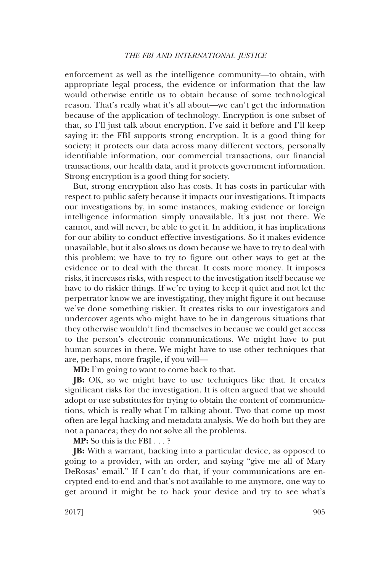enforcement as well as the intelligence community—to obtain, with appropriate legal process, the evidence or information that the law would otherwise entitle us to obtain because of some technological reason. That's really what it's all about—we can't get the information because of the application of technology. Encryption is one subset of that, so I'll just talk about encryption. I've said it before and I'll keep saying it: the FBI supports strong encryption. It is a good thing for society; it protects our data across many different vectors, personally identifiable information, our commercial transactions, our financial transactions, our health data, and it protects government information. Strong encryption is a good thing for society.

But, strong encryption also has costs. It has costs in particular with respect to public safety because it impacts our investigations. It impacts our investigations by, in some instances, making evidence or foreign intelligence information simply unavailable. It's just not there. We cannot, and will never, be able to get it. In addition, it has implications for our ability to conduct effective investigations. So it makes evidence unavailable, but it also slows us down because we have to try to deal with this problem; we have to try to figure out other ways to get at the evidence or to deal with the threat. It costs more money. It imposes risks, it increases risks, with respect to the investigation itself because we have to do riskier things. If we're trying to keep it quiet and not let the perpetrator know we are investigating, they might figure it out because we've done something riskier. It creates risks to our investigators and undercover agents who might have to be in dangerous situations that they otherwise wouldn't find themselves in because we could get access to the person's electronic communications. We might have to put human sources in there. We might have to use other techniques that are, perhaps, more fragile, if you will—

**MD:** I'm going to want to come back to that.

**JB:** OK, so we might have to use techniques like that. It creates significant risks for the investigation. It is often argued that we should adopt or use substitutes for trying to obtain the content of communications, which is really what I'm talking about. Two that come up most often are legal hacking and metadata analysis. We do both but they are not a panacea; they do not solve all the problems.

**MP:** So this is the FBI ... ?

**JB:** With a warrant, hacking into a particular device, as opposed to going to a provider, with an order, and saying "give me all of Mary DeRosas' email." If I can't do that, if your communications are encrypted end-to-end and that's not available to me anymore, one way to get around it might be to hack your device and try to see what's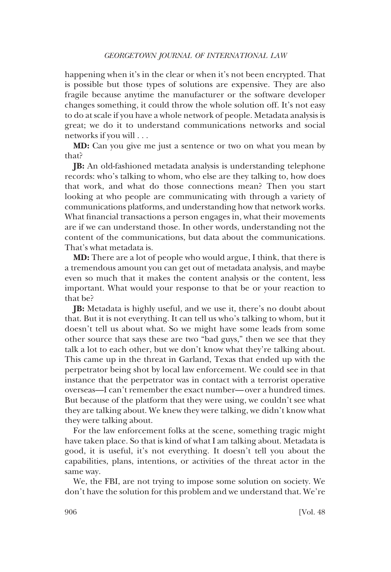happening when it's in the clear or when it's not been encrypted. That is possible but those types of solutions are expensive. They are also fragile because anytime the manufacturer or the software developer changes something, it could throw the whole solution off. It's not easy to do at scale if you have a whole network of people. Metadata analysis is great; we do it to understand communications networks and social networks if you will ...

**MD:** Can you give me just a sentence or two on what you mean by that?

**JB:** An old-fashioned metadata analysis is understanding telephone records: who's talking to whom, who else are they talking to, how does that work, and what do those connections mean? Then you start looking at who people are communicating with through a variety of communications platforms, and understanding how that network works. What financial transactions a person engages in, what their movements are if we can understand those. In other words, understanding not the content of the communications, but data about the communications. That's what metadata is.

**MD:** There are a lot of people who would argue, I think, that there is a tremendous amount you can get out of metadata analysis, and maybe even so much that it makes the content analysis or the content, less important. What would your response to that be or your reaction to that be?

**JB:** Metadata is highly useful, and we use it, there's no doubt about that. But it is not everything. It can tell us who's talking to whom, but it doesn't tell us about what. So we might have some leads from some other source that says these are two "bad guys," then we see that they talk a lot to each other, but we don't know what they're talking about. This came up in the threat in Garland, Texas that ended up with the perpetrator being shot by local law enforcement. We could see in that instance that the perpetrator was in contact with a terrorist operative overseas—I can't remember the exact number—over a hundred times. But because of the platform that they were using, we couldn't see what they are talking about. We knew they were talking, we didn't know what they were talking about.

For the law enforcement folks at the scene, something tragic might have taken place. So that is kind of what I am talking about. Metadata is good, it is useful, it's not everything. It doesn't tell you about the capabilities, plans, intentions, or activities of the threat actor in the same way.

We, the FBI, are not trying to impose some solution on society. We don't have the solution for this problem and we understand that. We're